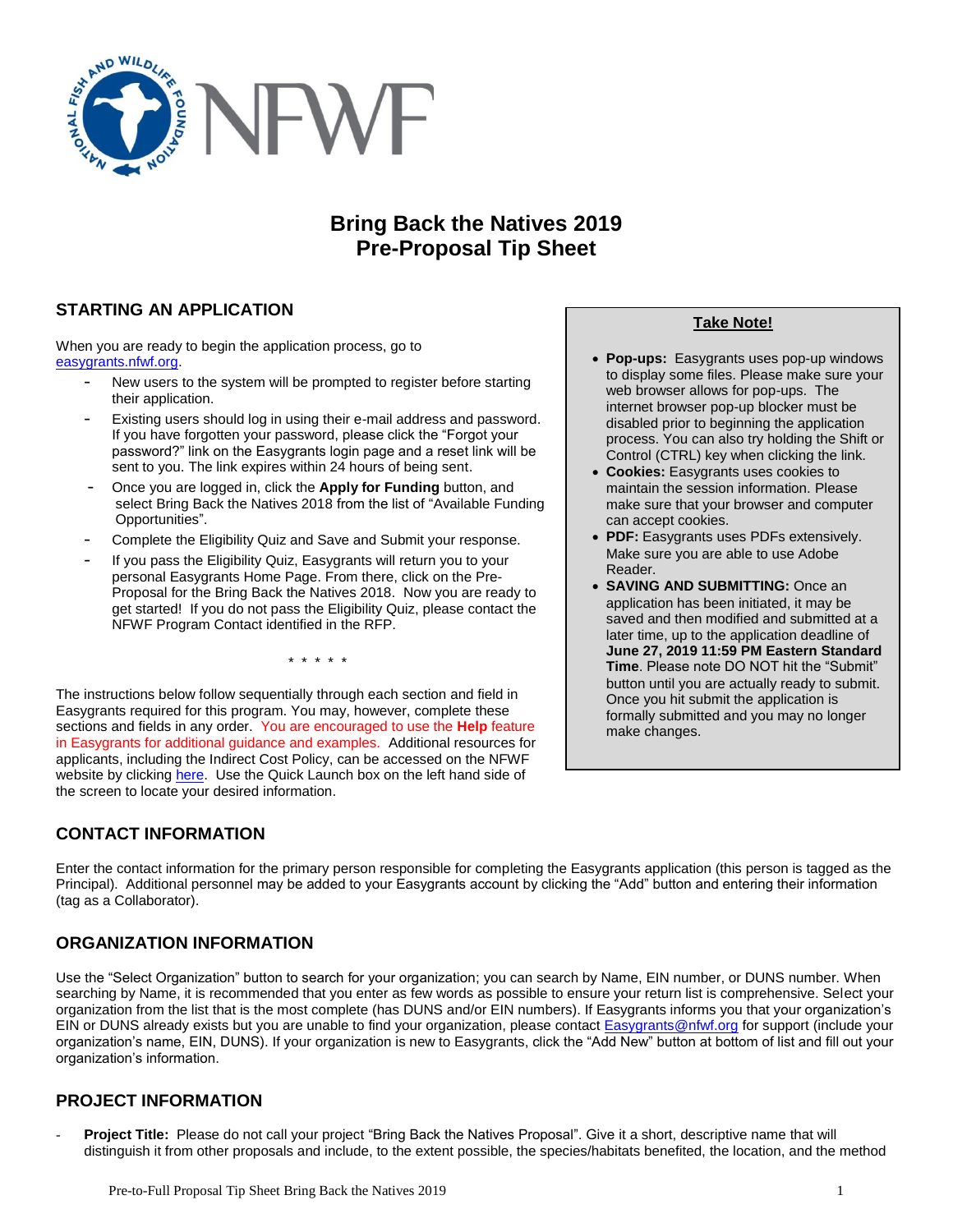

# **Bring Back the Natives 2019 Pre-Proposal Tip Sheet**

# **STARTING AN APPLICATION**

When you are ready to begin the application process, go to [easygrants.nfwf.org.](https://easygrants.nfwf.org/)

- New users to the system will be prompted to register before starting their application.
- Existing users should log in using their e-mail address and password. If you have forgotten your password, please click the "Forgot your password?" link on the Easygrants login page and a reset link will be sent to you. The link expires within 24 hours of being sent.
- Once you are logged in, click the **Apply for Funding** button, and select Bring Back the Natives 2018 from the list of "Available Funding Opportunities".
- Complete the Eligibility Quiz and Save and Submit your response.
- If you pass the Eligibility Quiz, Easygrants will return you to your personal Easygrants Home Page. From there, click on the Pre-Proposal for the Bring Back the Natives 2018. Now you are ready to get started! If you do not pass the Eligibility Quiz, please contact the NFWF Program Contact identified in the RFP.

\* \* \* \* \*

The instructions below follow sequentially through each section and field in Easygrants required for this program. You may, however, complete these sections and fields in any order. You are encouraged to use the **Help** feature in Easygrants for additional guidance and examples. Additional resources for applicants, including the Indirect Cost Policy, can be accessed on the NFWF website by clicking [here.](http://www.nfwf.org/whatwedo/grants/applicants/Pages/home.aspx) Use the Quick Launch box on the left hand side of the screen to locate your desired information.

# **CONTACT INFORMATION**

### **Take Note!**

- **Pop-ups:** Easygrants uses pop-up windows to display some files. Please make sure your web browser allows for pop-ups. The internet browser pop-up blocker must be disabled prior to beginning the application process. You can also try holding the Shift or Control (CTRL) key when clicking the link.
- **Cookies:** Easygrants uses cookies to maintain the session information. Please make sure that your browser and computer can accept cookies.
- **PDF:** Easygrants uses PDFs extensively. Make sure you are able to use Adobe Reader.
- **SAVING AND SUBMITTING:** Once an application has been initiated, it may be saved and then modified and submitted at a later time, up to the application deadline of **June 27, 2019 11:59 PM Eastern Standard Time**. Please note DO NOT hit the "Submit" button until you are actually ready to submit. Once you hit submit the application is formally submitted and you may no longer make changes.

Enter the contact information for the primary person responsible for completing the Easygrants application (this person is tagged as the Principal). Additional personnel may be added to your Easygrants account by clicking the "Add" button and entering their information (tag as a Collaborator).

# **ORGANIZATION INFORMATION**

Use the "Select Organization" button to search for your organization; you can search by Name, EIN number, or DUNS number. When searching by Name, it is recommended that you enter as few words as possible to ensure your return list is comprehensive. Select your organization from the list that is the most complete (has DUNS and/or EIN numbers). If Easygrants informs you that your organization's EIN or DUNS already exists but you are unable to find your organization, please contact **Easygrants@nfwf.org** for support (include your organization's name, EIN, DUNS). If your organization is new to Easygrants, click the "Add New" button at bottom of list and fill out your organization's information.

# **PROJECT INFORMATION**

- **Project Title:** Please do not call your project "Bring Back the Natives Proposal". Give it a short, descriptive name that will distinguish it from other proposals and include, to the extent possible, the species/habitats benefited, the location, and the method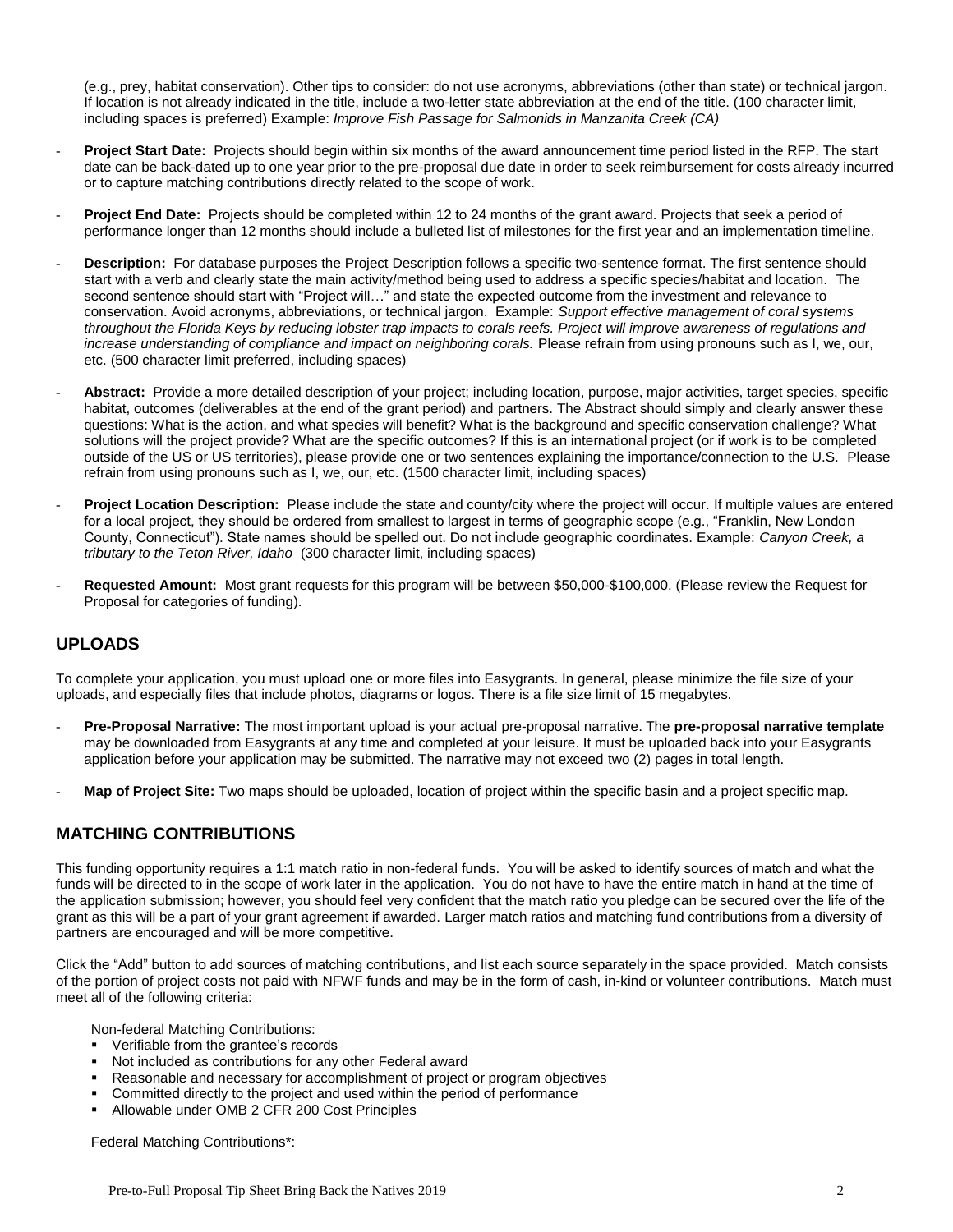(e.g., prey, habitat conservation). Other tips to consider: do not use acronyms, abbreviations (other than state) or technical jargon. If location is not already indicated in the title, include a two-letter state abbreviation at the end of the title. (100 character limit, including spaces is preferred) Example: *Improve Fish Passage for Salmonids in Manzanita Creek (CA)*

- **Project Start Date:** Projects should begin within six months of the award announcement time period listed in the RFP. The start date can be back-dated up to one year prior to the pre-proposal due date in order to seek reimbursement for costs already incurred or to capture matching contributions directly related to the scope of work.
- Project End Date: Projects should be completed within 12 to 24 months of the grant award. Projects that seek a period of performance longer than 12 months should include a bulleted list of milestones for the first year and an implementation timeline.
- **Description:** For database purposes the Project Description follows a specific two-sentence format. The first sentence should start with a verb and clearly state the main activity/method being used to address a specific species/habitat and location. The second sentence should start with "Project will..." and state the expected outcome from the investment and relevance to conservation. Avoid acronyms, abbreviations, or technical jargon. Example: *Support effective management of coral systems throughout the Florida Keys by reducing lobster trap impacts to corals reefs. Project will improve awareness of regulations and increase understanding of compliance and impact on neighboring corals.* Please refrain from using pronouns such as I, we, our, etc. (500 character limit preferred, including spaces)
- Abstract: Provide a more detailed description of your project; including location, purpose, major activities, target species, specific habitat, outcomes (deliverables at the end of the grant period) and partners. The Abstract should simply and clearly answer these questions: What is the action, and what species will benefit? What is the background and specific conservation challenge? What solutions will the project provide? What are the specific outcomes? If this is an international project (or if work is to be completed outside of the US or US territories), please provide one or two sentences explaining the importance/connection to the U.S.Please refrain from using pronouns such as I, we, our, etc. (1500 character limit, including spaces)
- **Project Location Description:** Please include the state and county/city where the project will occur. If multiple values are entered for a local project, they should be ordered from smallest to largest in terms of geographic scope (e.g., "Franklin, New London County, Connecticut"). State names should be spelled out. Do not include geographic coordinates. Example: *Canyon Creek, a tributary to the Teton River, Idaho* (300 character limit, including spaces)
- **Requested Amount:** Most grant requests for this program will be between \$50,000-\$100,000. (Please review the Request for Proposal for categories of funding).

# **UPLOADS**

To complete your application, you must upload one or more files into Easygrants. In general, please minimize the file size of your uploads, and especially files that include photos, diagrams or logos. There is a file size limit of 15 megabytes.

- **Pre-Proposal Narrative:** The most important upload is your actual pre-proposal narrative. The **pre-proposal narrative template** may be downloaded from Easygrants at any time and completed at your leisure. It must be uploaded back into your Easygrants application before your application may be submitted. The narrative may not exceed two (2) pages in total length.
- **Map of Project Site:** Two maps should be uploaded, location of project within the specific basin and a project specific map.

## **MATCHING CONTRIBUTIONS**

This funding opportunity requires a 1:1 match ratio in non-federal funds. You will be asked to identify sources of match and what the funds will be directed to in the scope of work later in the application. You do not have to have the entire match in hand at the time of the application submission; however, you should feel very confident that the match ratio you pledge can be secured over the life of the grant as this will be a part of your grant agreement if awarded. Larger match ratios and matching fund contributions from a diversity of partners are encouraged and will be more competitive.

Click the "Add" button to add sources of matching contributions, and list each source separately in the space provided. Match consists of the portion of project costs not paid with NFWF funds and may be in the form of cash, in-kind or volunteer contributions. Match must meet all of the following criteria:

Non-federal Matching Contributions:

- **•** Verifiable from the grantee's records
- Not included as contributions for any other Federal award
- Reasonable and necessary for accomplishment of project or program objectives
- Committed directly to the project and used within the period of performance
- Allowable under OMB 2 CFR 200 Cost Principles

Federal Matching Contributions\*: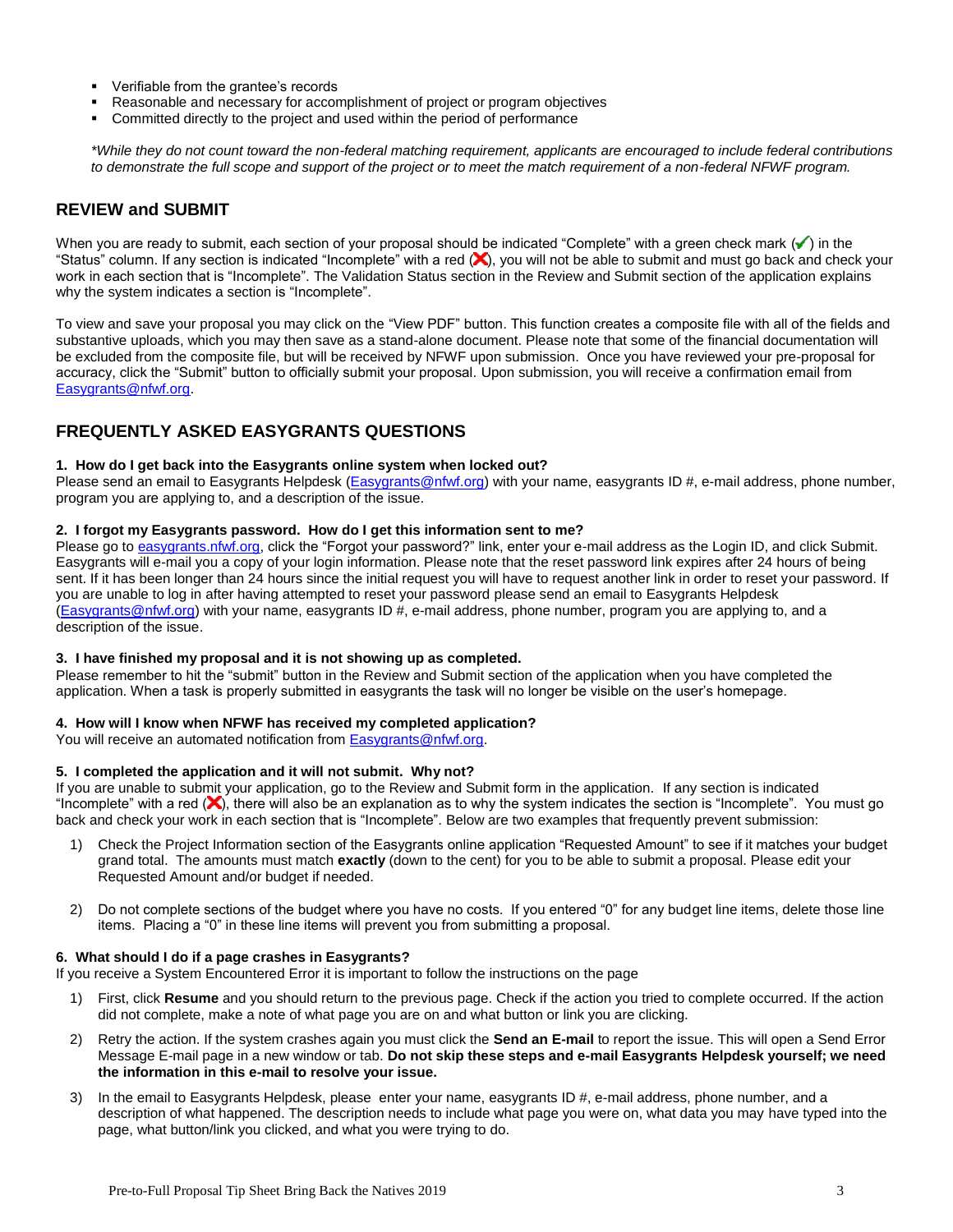- **•** Verifiable from the grantee's records
- Reasonable and necessary for accomplishment of project or program objectives
- Committed directly to the project and used within the period of performance

*\*While they do not count toward the non-federal matching requirement, applicants are encouraged to include federal contributions to demonstrate the full scope and support of the project or to meet the match requirement of a non-federal NFWF program.*

## **REVIEW and SUBMIT**

When you are ready to submit, each section of your proposal should be indicated "Complete" with a green check mark  $(\checkmark)$  in the "Status" column. If any section is indicated "Incomplete" with a red (X), you will not be able to submit and must go back and check your work in each section that is "Incomplete". The Validation Status section in the Review and Submit section of the application explains why the system indicates a section is "Incomplete".

To view and save your proposal you may click on the "View PDF" button. This function creates a composite file with all of the fields and substantive uploads, which you may then save as a stand-alone document. Please note that some of the financial documentation will be excluded from the composite file, but will be received by NFWF upon submission. Once you have reviewed your pre-proposal for accuracy, click the "Submit" button to officially submit your proposal. Upon submission, you will receive a confirmation email from [Easygrants@nfwf.org.](mailto:Easygrants@nfwf.org)

# **FREQUENTLY ASKED EASYGRANTS QUESTIONS**

### **1. How do I get back into the Easygrants online system when locked out?**

Please send an email to Easygrants Helpdesk [\(Easygrants@nfwf.org\)](mailto:Easygrants@nfwf.org) with your name, easygrants ID #, e-mail address, phone number, program you are applying to, and a description of the issue.

### **2. I forgot my Easygrants password. How do I get this information sent to me?**

Please go t[o easygrants.nfwf.org,](https://easygrants.nfwf.org/) click the "Forgot your password?" link, enter your e-mail address as the Login ID, and click Submit. Easygrants will e-mail you a copy of your login information. Please note that the reset password link expires after 24 hours of being sent. If it has been longer than 24 hours since the initial request you will have to request another link in order to reset your password. If you are unable to log in after having attempted to reset your password please send an email to Easygrants Helpdesk [\(Easygrants@nfwf.org\)](mailto:Easygrants@nfwf.org) with your name, easygrants ID #, e-mail address, phone number, program you are applying to, and a description of the issue.

### **3. I have finished my proposal and it is not showing up as completed.**

Please remember to hit the "submit" button in the Review and Submit section of the application when you have completed the application. When a task is properly submitted in easygrants the task will no longer be visible on the user's homepage.

### **4. How will I know when NFWF has received my completed application?**

You will receive an automated notification fro[m Easygrants@nfwf.org.](mailto:Easygrants@nfwf.org)

### **5. I completed the application and it will not submit. Why not?**

If you are unable to submit your application, go to the Review and Submit form in the application.If any section is indicated "Incomplete" with a red  $(X)$ , there will also be an explanation as to why the system indicates the section is "Incomplete". You must go back and check your work in each section that is "Incomplete". Below are two examples that frequently prevent submission:

- 1) Check the Project Information section of the Easygrants online application "Requested Amount" to see if it matches your budget grand total. The amounts must match **exactly** (down to the cent) for you to be able to submit a proposal. Please edit your Requested Amount and/or budget if needed.
- 2) Do not complete sections of the budget where you have no costs. If you entered "0" for any budget line items, delete those line items. Placing a "0" in these line items will prevent you from submitting a proposal.

### **6. What should I do if a page crashes in Easygrants?**

If you receive a System Encountered Error it is important to follow the instructions on the page

- 1) First, click **Resume** and you should return to the previous page. Check if the action you tried to complete occurred. If the action did not complete, make a note of what page you are on and what button or link you are clicking.
- 2) Retry the action. If the system crashes again you must click the **Send an E-mail** to report the issue. This will open a Send Error Message E-mail page in a new window or tab. **Do not skip these steps and e-mail Easygrants Helpdesk yourself; we need the information in this e-mail to resolve your issue.**
- 3) In the email to Easygrants Helpdesk, please enter your name, easygrants ID #, e-mail address, phone number, and a description of what happened. The description needs to include what page you were on, what data you may have typed into the page, what button/link you clicked, and what you were trying to do.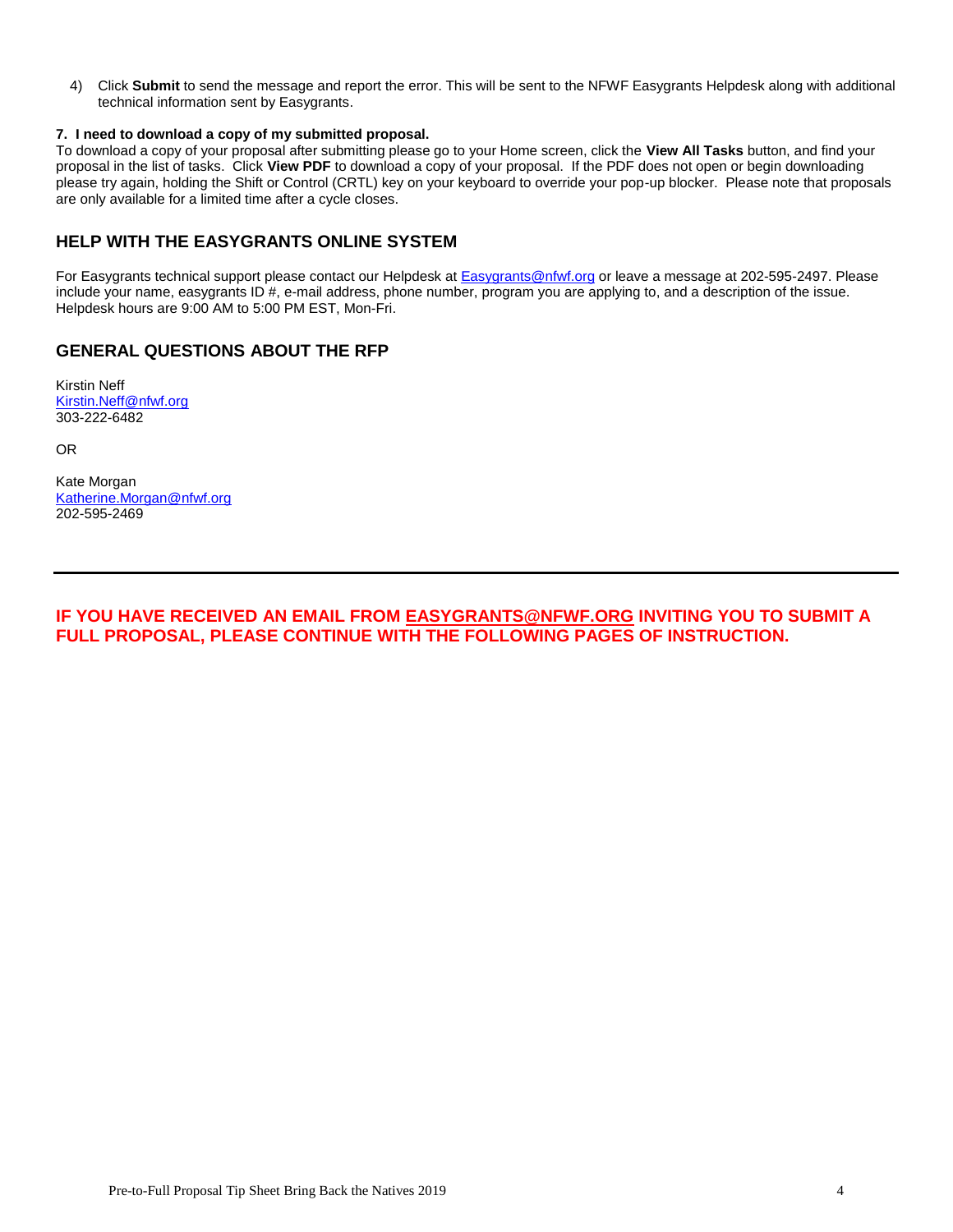4) Click **Submit** to send the message and report the error. This will be sent to the NFWF Easygrants Helpdesk along with additional technical information sent by Easygrants.

### **7. I need to download a copy of my submitted proposal.**

To download a copy of your proposal after submitting please go to your Home screen, click the **View All Tasks** button, and find your proposal in the list of tasks. Click **View PDF** to download a copy of your proposal. If the PDF does not open or begin downloading please try again, holding the Shift or Control (CRTL) key on your keyboard to override your pop-up blocker. Please note that proposals are only available for a limited time after a cycle closes.

## **HELP WITH THE EASYGRANTS ONLINE SYSTEM**

For Easygrants technical support please contact our Helpdesk at [Easygrants@nfwf.org](mailto:Easygrants@nfwf.org) or leave a message at 202-595-2497. Please include your name, easygrants ID #, e-mail address, phone number, program you are applying to, and a description of the issue. Helpdesk hours are 9:00 AM to 5:00 PM EST, Mon-Fri.

## **GENERAL QUESTIONS ABOUT THE RFP**

Kirstin Neff [Kirstin.Neff@nfwf.org](mailto:Kirstin.Neff@nfwf.org) 303-222-6482

OR

Kate Morgan [Katherine.Morgan@nfwf.org](mailto:Katherine.Morgan@nfwf.org) 202-595-2469

**IF YOU HAVE RECEIVED AN EMAIL FROM <b>EASYGRANTS@NFWF.ORG** INVITING YOU TO SUBMIT A **FULL PROPOSAL, PLEASE CONTINUE WITH THE FOLLOWING PAGES OF INSTRUCTION.**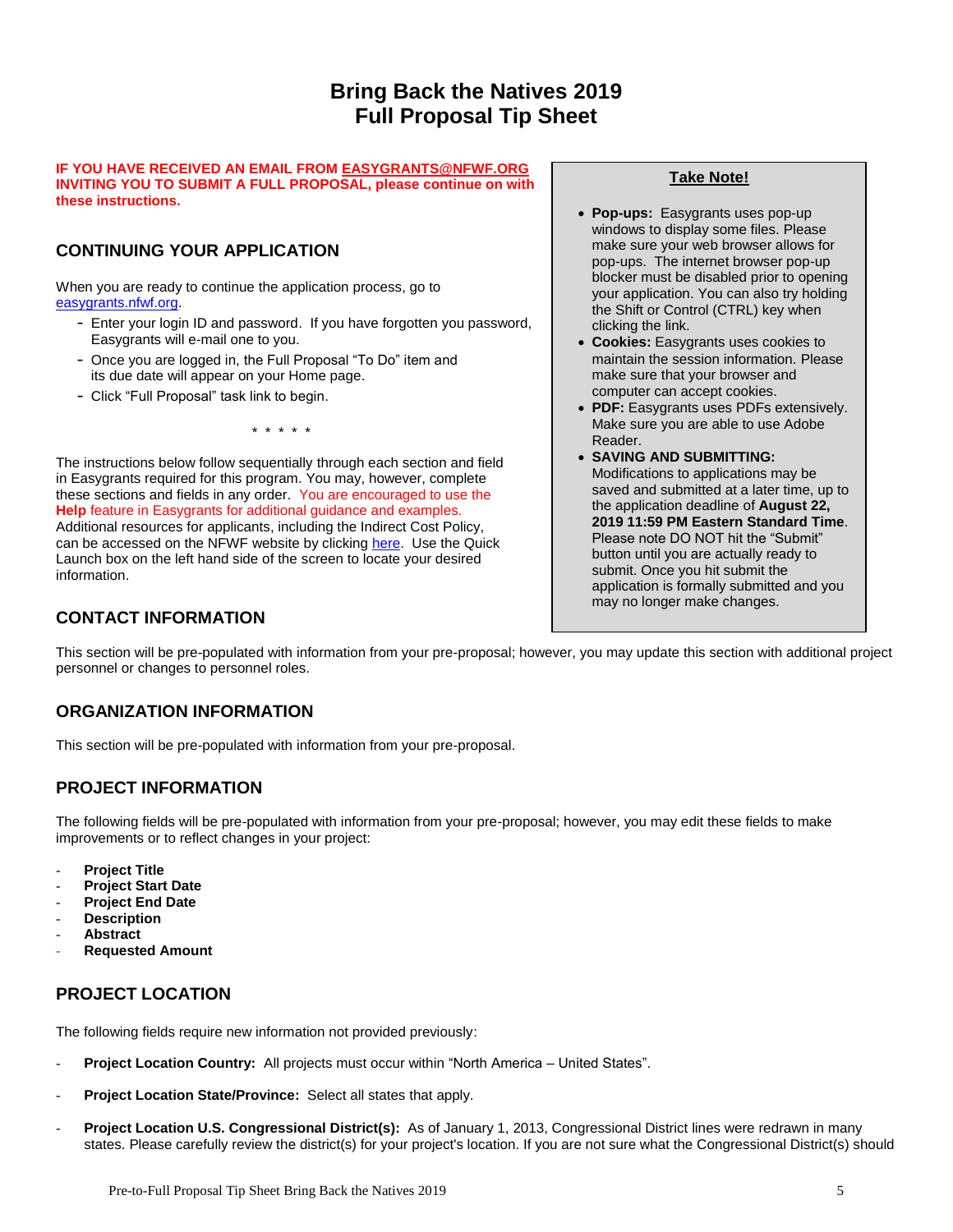# **Bring Back the Natives 2019 Full Proposal Tip Sheet**

#### **IF YOU HAVE RECEIVED AN EMAIL FROM [EASYGRANTS@NFWF.ORG](mailto:EASYGRANTS@NFWF.ORG) INVITING YOU TO SUBMIT A FULL PROPOSAL, please continue on with these instructions.**

# **CONTINUING YOUR APPLICATION**

When you are ready to continue the application process, go to [easygrants.nfwf.org.](https://easygrants.nfwf.org/)

- Enter your login ID and password. If you have forgotten you password, Easygrants will e-mail one to you.
- Once you are logged in, the Full Proposal "To Do" item and its due date will appear on your Home page.
- Click "Full Proposal" task link to begin.

\* \* \* \* \*

The instructions below follow sequentially through each section and field in Easygrants required for this program. You may, however, complete these sections and fields in any order. You are encouraged to use the **Help** feature in Easygrants for additional guidance and examples. Additional resources for applicants, including the Indirect Cost Policy, can be accessed on the NFWF website by clicking [here.](http://www.nfwf.org/whatwedo/grants/applicants/Pages/home.aspx) Use the Quick Launch box on the left hand side of the screen to locate your desired information.

# **CONTACT INFORMATION**

## **Take Note!**

- **Pop-ups:** Easygrants uses pop-up windows to display some files. Please make sure your web browser allows for pop-ups. The internet browser pop-up blocker must be disabled prior to opening your application. You can also try holding the Shift or Control (CTRL) key when clicking the link.
- **Cookies:** Easygrants uses cookies to maintain the session information. Please make sure that your browser and computer can accept cookies.
- **PDF:** Easygrants uses PDFs extensively. Make sure you are able to use Adobe Reader.
- **SAVING AND SUBMITTING:**  Modifications to applications may be saved and submitted at a later time, up to the application deadline of **August 22, 2019 11:59 PM Eastern Standard Time**. Please note DO NOT hit the "Submit" button until you are actually ready to submit. Once you hit submit the application is formally submitted and you may no longer make changes.

This section will be pre-populated with information from your pre-proposal; however, you may update this section with additional project personnel or changes to personnel roles.

# **ORGANIZATION INFORMATION**

This section will be pre-populated with information from your pre-proposal.

# **PROJECT INFORMATION**

The following fields will be pre-populated with information from your pre-proposal; however, you may edit these fields to make improvements or to reflect changes in your project:

- **Project Title**
- **Project Start Date**
- **Project End Date**
- **Description**
- **Abstract**
- **Requested Amount**

# **PROJECT LOCATION**

The following fields require new information not provided previously:

- Project Location Country: All projects must occur within "North America United States".
- Project Location State/Province: Select all states that apply.
- **Project Location U.S. Congressional District(s):** As of January 1, 2013, Congressional District lines were redrawn in many states. Please carefully review the district(s) for your project's location. If you are not sure what the Congressional District(s) should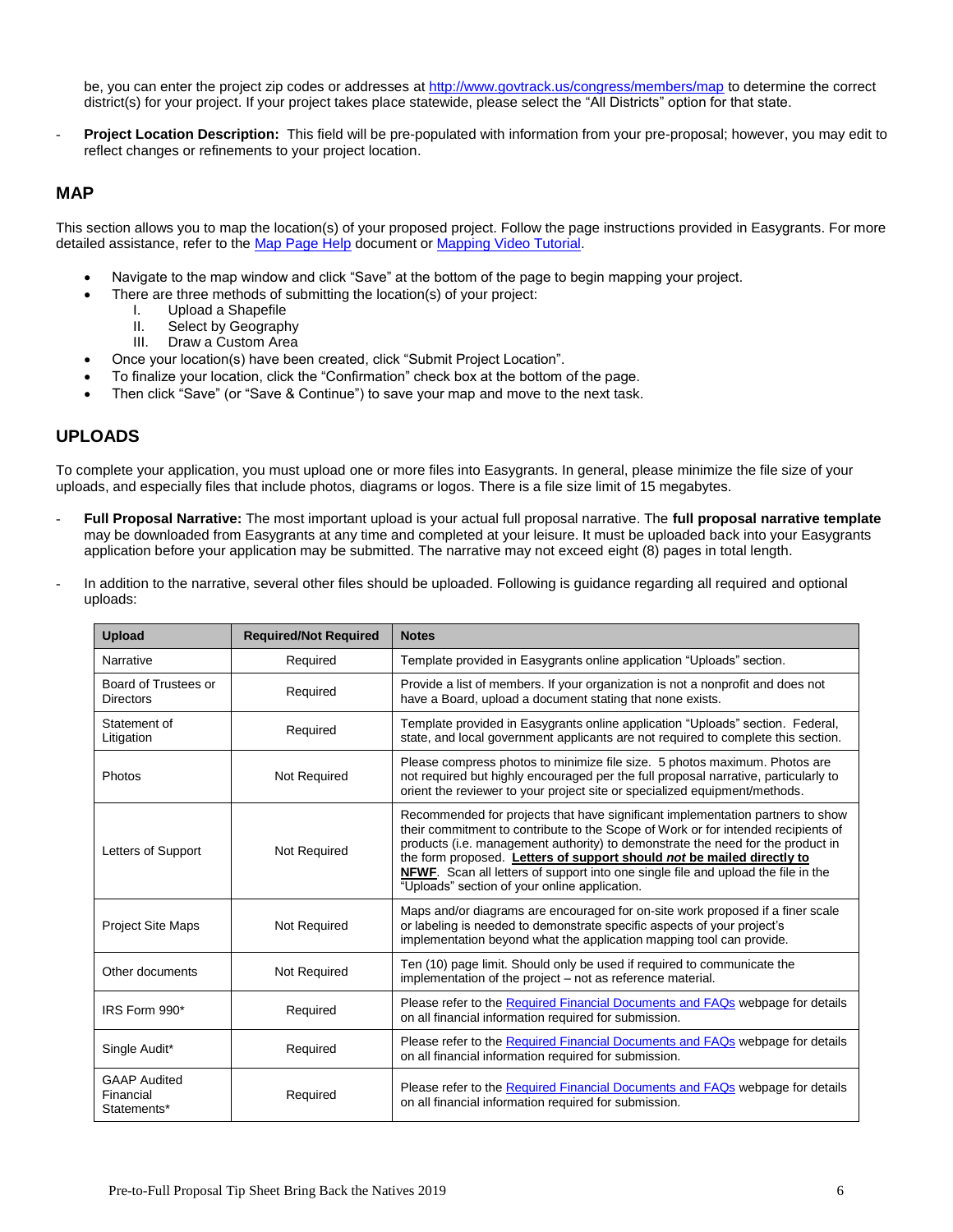be, you can enter the project zip codes or addresses [at](http://www.govtrack.us/congress/members/map) <http://www.govtrack.us/congress/members/map> to determine the correct district(s) for your project. If your project takes place statewide, please select the "All Districts" option for that state.

Project Location Description: This field will be pre-populated with information from your pre-proposal; however, you may edit to reflect changes or refinements to your project location.

### **MAP**

This section allows you to map the location(s) of your proposed project. Follow the page instructions provided in Easygrants. For more detailed assistance, refer to the [Map Page Help](http://www.nfwf.org/whatwedo/grants/Documents/HelpFile.Proposal.Map.pdf) document o[r Mapping Video Tutorial.](http://www.nfwf.org/whatwedo/grants/applicants/Pages/mapping-tool.aspx#.VfH2mpd1b70)

- Navigate to the map window and click "Save" at the bottom of the page to begin mapping your project.
- There are three methods of submitting the location(s) of your project:
	- I. Upload a Shapefile
	- II. Select by Geography
	- III. Draw a Custom Area
- Once your location(s) have been created, click "Submit Project Location".
- To finalize your location, click the "Confirmation" check box at the bottom of the page.
- Then click "Save" (or "Save & Continue") to save your map and move to the next task.

### **UPLOADS**

To complete your application, you must upload one or more files into Easygrants. In general, please minimize the file size of your uploads, and especially files that include photos, diagrams or logos. There is a file size limit of 15 megabytes.

- **Full Proposal Narrative:** The most important upload is your actual full proposal narrative. The **full proposal narrative template** may be downloaded from Easygrants at any time and completed at your leisure. It must be uploaded back into your Easygrants application before your application may be submitted. The narrative may not exceed eight (8) pages in total length.
- In addition to the narrative, several other files should be uploaded. Following is guidance regarding all required and optional uploads:

| <b>Upload</b>                                   | <b>Required/Not Required</b> | <b>Notes</b>                                                                                                                                                                                                                                                                                                                                                                                                                                                           |  |
|-------------------------------------------------|------------------------------|------------------------------------------------------------------------------------------------------------------------------------------------------------------------------------------------------------------------------------------------------------------------------------------------------------------------------------------------------------------------------------------------------------------------------------------------------------------------|--|
| Narrative                                       | Required                     | Template provided in Easygrants online application "Uploads" section.                                                                                                                                                                                                                                                                                                                                                                                                  |  |
| Board of Trustees or<br><b>Directors</b>        | Required                     | Provide a list of members. If your organization is not a nonprofit and does not<br>have a Board, upload a document stating that none exists.                                                                                                                                                                                                                                                                                                                           |  |
| Statement of<br>Litigation                      | Required                     | Template provided in Easygrants online application "Uploads" section. Federal,<br>state, and local government applicants are not required to complete this section.                                                                                                                                                                                                                                                                                                    |  |
| Photos                                          | Not Required                 | Please compress photos to minimize file size. 5 photos maximum. Photos are<br>not required but highly encouraged per the full proposal narrative, particularly to<br>orient the reviewer to your project site or specialized equipment/methods.                                                                                                                                                                                                                        |  |
| Letters of Support                              | Not Required                 | Recommended for projects that have significant implementation partners to show<br>their commitment to contribute to the Scope of Work or for intended recipients of<br>products (i.e. management authority) to demonstrate the need for the product in<br>the form proposed. Letters of support should not be mailed directly to<br>NFWF. Scan all letters of support into one single file and upload the file in the<br>"Uploads" section of your online application. |  |
| <b>Project Site Maps</b>                        | Not Required                 | Maps and/or diagrams are encouraged for on-site work proposed if a finer scale<br>or labeling is needed to demonstrate specific aspects of your project's<br>implementation beyond what the application mapping tool can provide.                                                                                                                                                                                                                                      |  |
| Other documents                                 | Not Required                 | Ten (10) page limit. Should only be used if required to communicate the<br>implementation of the project – not as reference material.                                                                                                                                                                                                                                                                                                                                  |  |
| IRS Form 990*                                   | Required                     | Please refer to the Required Financial Documents and FAQs webpage for details<br>on all financial information required for submission.                                                                                                                                                                                                                                                                                                                                 |  |
| Single Audit*                                   | Required                     | Please refer to the Required Financial Documents and FAQs webpage for details<br>on all financial information required for submission.                                                                                                                                                                                                                                                                                                                                 |  |
| <b>GAAP Audited</b><br>Financial<br>Statements* | Required                     | Please refer to the Required Financial Documents and FAQs webpage for details<br>on all financial information required for submission.                                                                                                                                                                                                                                                                                                                                 |  |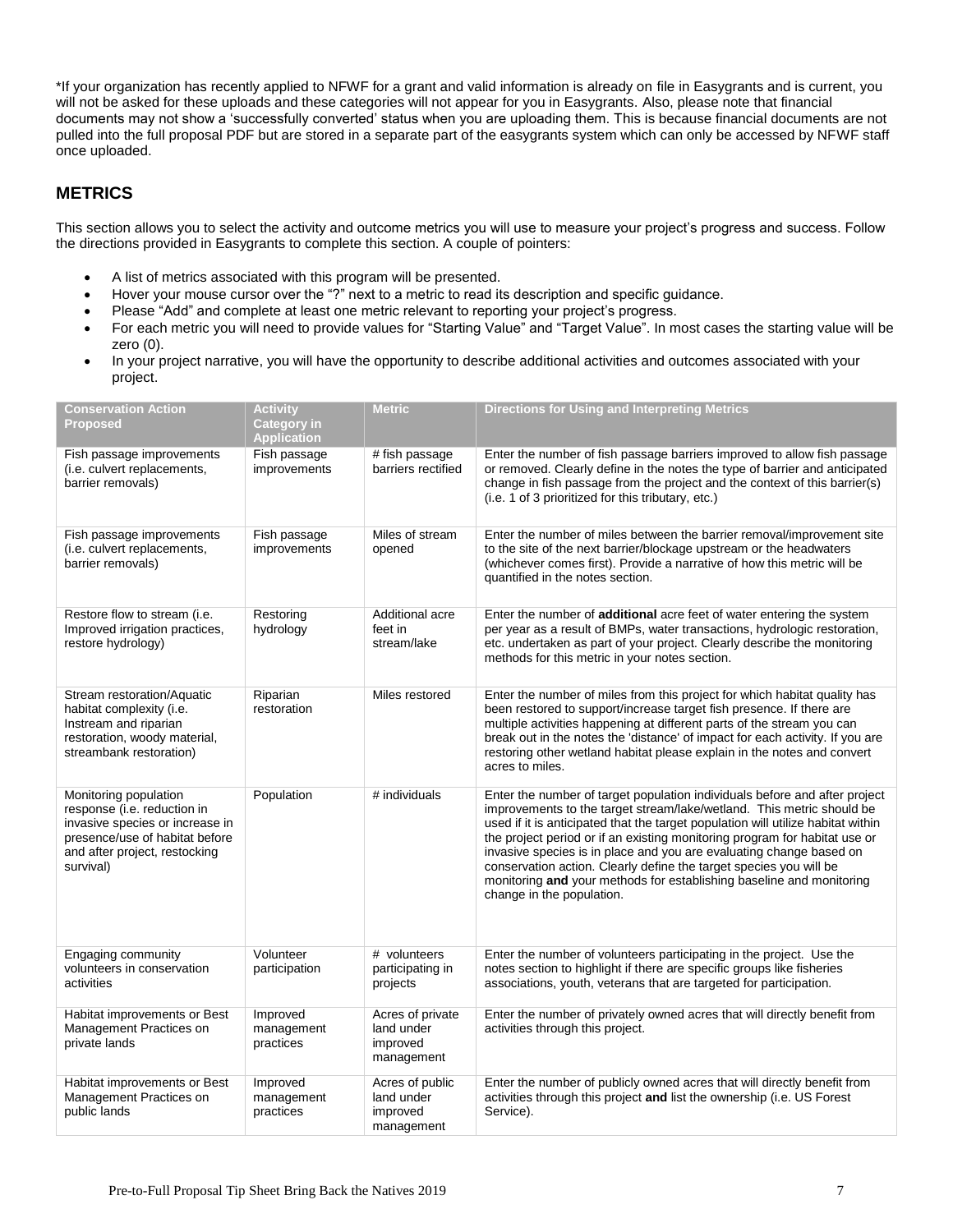\*If your organization has recently applied to NFWF for a grant and valid information is already on file in Easygrants and is current, you will not be asked for these uploads and these categories will not appear for you in Easygrants. Also, please note that financial documents may not show a 'successfully converted' status when you are uploading them. This is because financial documents are not pulled into the full proposal PDF but are stored in a separate part of the easygrants system which can only be accessed by NFWF staff once uploaded.

# **METRICS**

This section allows you to select the activity and outcome metrics you will use to measure your project's progress and success. Follow the directions provided in Easygrants to complete this section. A couple of pointers:

- A list of metrics associated with this program will be presented.
- Hover your mouse cursor over the "?" next to a metric to read its description and specific guidance.
- Please "Add" and complete at least one metric relevant to reporting your project's progress.
- For each metric you will need to provide values for "Starting Value" and "Target Value". In most cases the starting value will be zero (0).
- In your project narrative, you will have the opportunity to describe additional activities and outcomes associated with your project.

| <b>Conservation Action</b><br><b>Proposed</b>                                                                                                                           | <b>Activity</b><br><b>Category in</b><br><b>Application</b> | <b>Metric</b>                                            | <b>Directions for Using and Interpreting Metrics</b>                                                                                                                                                                                                                                                                                                                                                                                                                                                                                                                    |
|-------------------------------------------------------------------------------------------------------------------------------------------------------------------------|-------------------------------------------------------------|----------------------------------------------------------|-------------------------------------------------------------------------------------------------------------------------------------------------------------------------------------------------------------------------------------------------------------------------------------------------------------------------------------------------------------------------------------------------------------------------------------------------------------------------------------------------------------------------------------------------------------------------|
| Fish passage improvements<br>(i.e. culvert replacements,<br>barrier removals)                                                                                           | Fish passage<br>improvements                                | # fish passage<br>barriers rectified                     | Enter the number of fish passage barriers improved to allow fish passage<br>or removed. Clearly define in the notes the type of barrier and anticipated<br>change in fish passage from the project and the context of this barrier(s)<br>(i.e. 1 of 3 prioritized for this tributary, etc.)                                                                                                                                                                                                                                                                             |
| Fish passage improvements<br>(i.e. culvert replacements,<br>barrier removals)                                                                                           | Fish passage<br>improvements                                | Miles of stream<br>opened                                | Enter the number of miles between the barrier removal/improvement site<br>to the site of the next barrier/blockage upstream or the headwaters<br>(whichever comes first). Provide a narrative of how this metric will be<br>quantified in the notes section.                                                                                                                                                                                                                                                                                                            |
| Restore flow to stream (i.e.<br>Improved irrigation practices,<br>restore hydrology)                                                                                    | Restoring<br>hydrology                                      | Additional acre<br>feet in<br>stream/lake                | Enter the number of <b>additional</b> acre feet of water entering the system<br>per year as a result of BMPs, water transactions, hydrologic restoration,<br>etc. undertaken as part of your project. Clearly describe the monitoring<br>methods for this metric in your notes section.                                                                                                                                                                                                                                                                                 |
| Stream restoration/Aquatic<br>habitat complexity (i.e.<br>Instream and riparian<br>restoration, woody material,<br>streambank restoration)                              | Riparian<br>restoration                                     | Miles restored                                           | Enter the number of miles from this project for which habitat quality has<br>been restored to support/increase target fish presence. If there are<br>multiple activities happening at different parts of the stream you can<br>break out in the notes the 'distance' of impact for each activity. If you are<br>restoring other wetland habitat please explain in the notes and convert<br>acres to miles.                                                                                                                                                              |
| Monitoring population<br>response (i.e. reduction in<br>invasive species or increase in<br>presence/use of habitat before<br>and after project, restocking<br>survival) | Population                                                  | # individuals                                            | Enter the number of target population individuals before and after project<br>improvements to the target stream/lake/wetland. This metric should be<br>used if it is anticipated that the target population will utilize habitat within<br>the project period or if an existing monitoring program for habitat use or<br>invasive species is in place and you are evaluating change based on<br>conservation action. Clearly define the target species you will be<br>monitoring and your methods for establishing baseline and monitoring<br>change in the population. |
| Engaging community<br>volunteers in conservation<br>activities                                                                                                          | Volunteer<br>participation                                  | # volunteers<br>participating in<br>projects             | Enter the number of volunteers participating in the project. Use the<br>notes section to highlight if there are specific groups like fisheries<br>associations, youth, veterans that are targeted for participation.                                                                                                                                                                                                                                                                                                                                                    |
| Habitat improvements or Best<br>Management Practices on<br>private lands                                                                                                | Improved<br>management<br>practices                         | Acres of private<br>land under<br>improved<br>management | Enter the number of privately owned acres that will directly benefit from<br>activities through this project.                                                                                                                                                                                                                                                                                                                                                                                                                                                           |
| Habitat improvements or Best<br>Management Practices on<br>public lands                                                                                                 | Improved<br>management<br>practices                         | Acres of public<br>land under<br>improved<br>management  | Enter the number of publicly owned acres that will directly benefit from<br>activities through this project and list the ownership (i.e. US Forest<br>Service).                                                                                                                                                                                                                                                                                                                                                                                                         |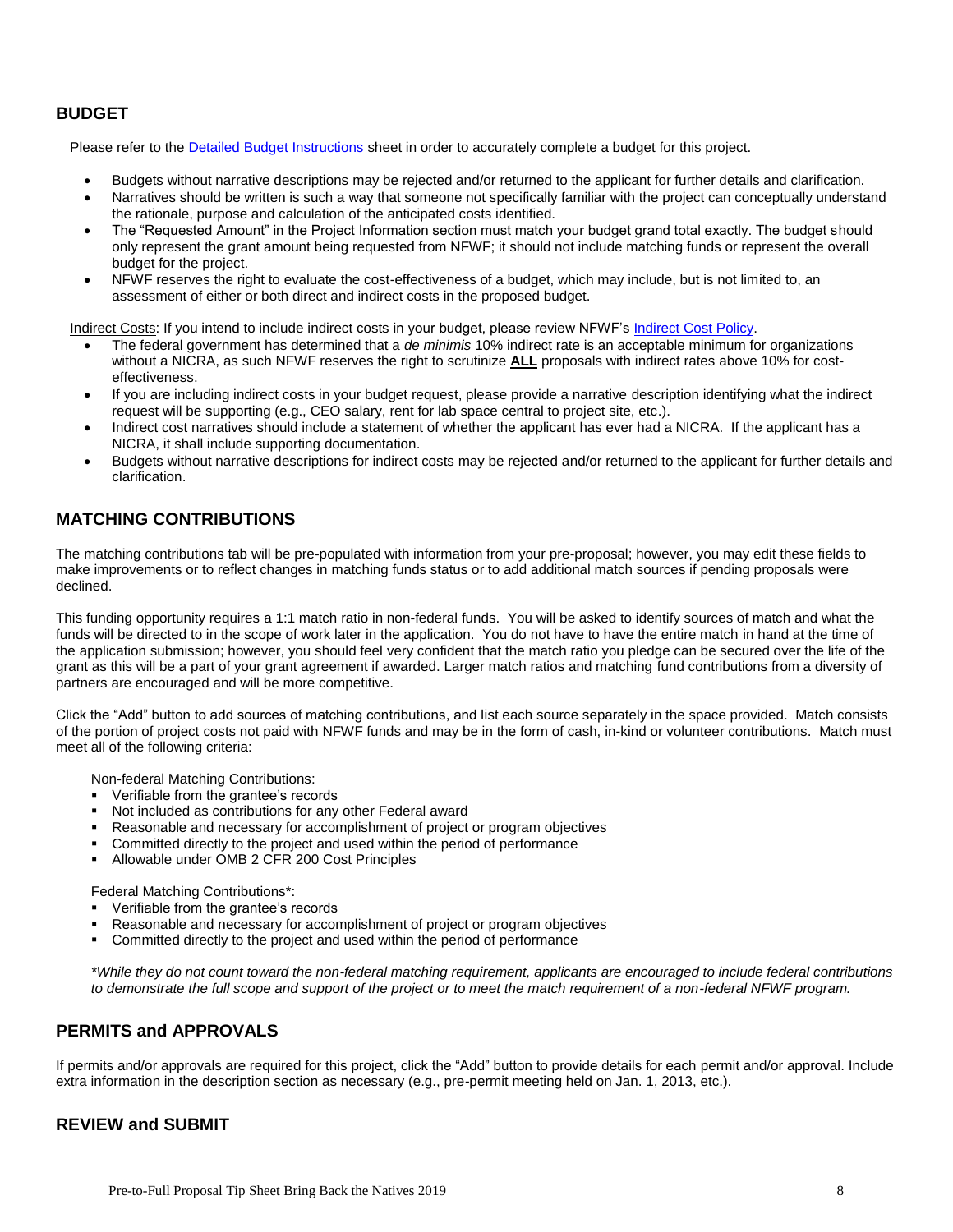# **BUDGET**

Please refer to the [Detailed Budget Instructions](http://www.nfwf.org/whatwedo/grants/applicants/Pages/budget-instructions.aspx) sheet in order to accurately complete a budget for this project.

- Budgets without narrative descriptions may be rejected and/or returned to the applicant for further details and clarification.
- Narratives should be written is such a way that someone not specifically familiar with the project can conceptually understand the rationale, purpose and calculation of the anticipated costs identified.
- The "Requested Amount" in the Project Information section must match your budget grand total exactly. The budget should only represent the grant amount being requested from NFWF; it should not include matching funds or represent the overall budget for the project.
- NFWF reserves the right to evaluate the cost-effectiveness of a budget, which may include, but is not limited to, an assessment of either or both direct and indirect costs in the proposed budget.

Indirect Costs: If you intend to include indirect costs in your budget, please review NFWF's [Indirect Cost Policy.](http://www.nfwf.org/whatwedo/grants/applicants/Pages/indirect-policy.aspx)

- The federal government has determined that a *de minimis* 10% indirect rate is an acceptable minimum for organizations without a NICRA, as such NFWF reserves the right to scrutinize **ALL** proposals with indirect rates above 10% for costeffectiveness.
- If you are including indirect costs in your budget request, please provide a narrative description identifying what the indirect request will be supporting (e.g., CEO salary, rent for lab space central to project site, etc.).
- Indirect cost narratives should include a statement of whether the applicant has ever had a NICRA. If the applicant has a NICRA, it shall include supporting documentation.
- Budgets without narrative descriptions for indirect costs may be rejected and/or returned to the applicant for further details and clarification.

# **MATCHING CONTRIBUTIONS**

The matching contributions tab will be pre-populated with information from your pre-proposal; however, you may edit these fields to make improvements or to reflect changes in matching funds status or to add additional match sources if pending proposals were declined.

This funding opportunity requires a 1:1 match ratio in non-federal funds. You will be asked to identify sources of match and what the funds will be directed to in the scope of work later in the application. You do not have to have the entire match in hand at the time of the application submission; however, you should feel very confident that the match ratio you pledge can be secured over the life of the grant as this will be a part of your grant agreement if awarded. Larger match ratios and matching fund contributions from a diversity of partners are encouraged and will be more competitive.

Click the "Add" button to add sources of matching contributions, and list each source separately in the space provided. Match consists of the portion of project costs not paid with NFWF funds and may be in the form of cash, in-kind or volunteer contributions. Match must meet all of the following criteria:

Non-federal Matching Contributions:

- Verifiable from the grantee's records
- Not included as contributions for any other Federal award
- Reasonable and necessary for accomplishment of project or program objectives
- Committed directly to the project and used within the period of performance
- Allowable under OMB 2 CFR 200 Cost Principles

Federal Matching Contributions\*:

- **•** Verifiable from the grantee's records
- Reasonable and necessary for accomplishment of project or program objectives
- Committed directly to the project and used within the period of performance

*\*While they do not count toward the non-federal matching requirement, applicants are encouraged to include federal contributions to demonstrate the full scope and support of the project or to meet the match requirement of a non-federal NFWF program.*

## **PERMITS and APPROVALS**

If permits and/or approvals are required for this project, click the "Add" button to provide details for each permit and/or approval. Include extra information in the description section as necessary (e.g., pre-permit meeting held on Jan. 1, 2013, etc.).

### **REVIEW and SUBMIT**